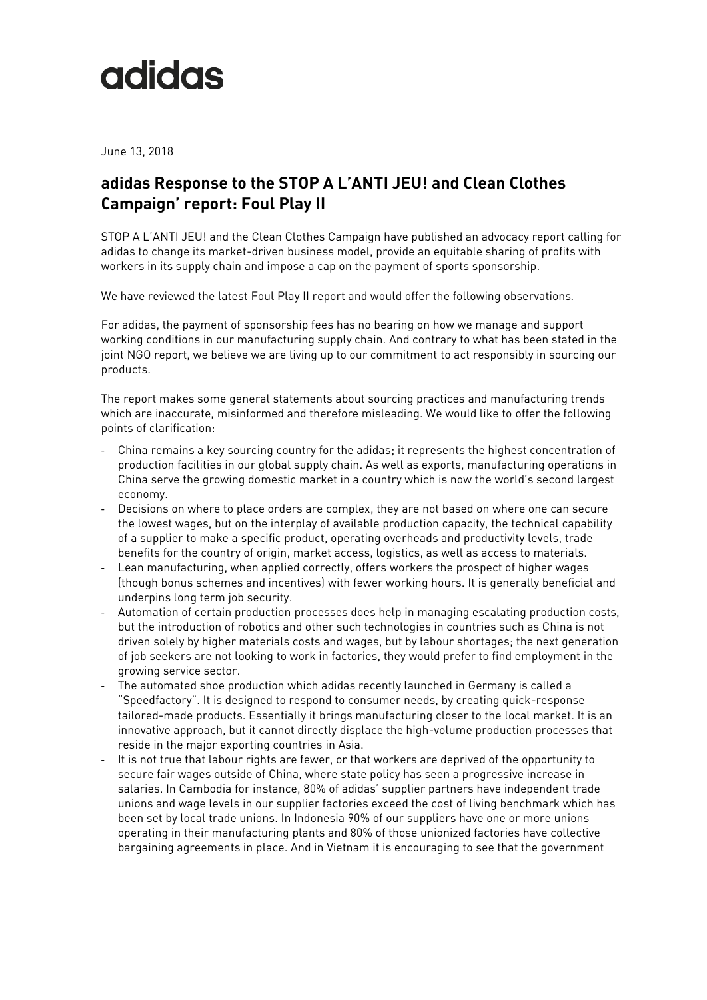## adidas

June 13, 2018

## **adidas Response to the STOP A L'ANTI JEU! and Clean Clothes Campaign' report: Foul Play II**

STOP A L'ANTI JEU! and the Clean Clothes Campaign have published an advocacy report calling for adidas to change its market-driven business model, provide an equitable sharing of profits with workers in its supply chain and impose a cap on the payment of sports sponsorship.

We have reviewed the latest Foul Play II report and would offer the following observations*.*

For adidas, the payment of sponsorship fees has no bearing on how we manage and support working conditions in our manufacturing supply chain. And contrary to what has been stated in the joint NGO report, we believe we are living up to our commitment to act responsibly in sourcing our products.

The report makes some general statements about sourcing practices and manufacturing trends which are inaccurate, misinformed and therefore misleading. We would like to offer the following points of clarification:

- China remains a key sourcing country for the adidas; it represents the highest concentration of production facilities in our global supply chain. As well as exports, manufacturing operations in China serve the growing domestic market in a country which is now the world's second largest economy.
- Decisions on where to place orders are complex, they are not based on where one can secure the lowest wages, but on the interplay of available production capacity, the technical capability of a supplier to make a specific product, operating overheads and productivity levels, trade benefits for the country of origin, market access, logistics, as well as access to materials.
- Lean manufacturing, when applied correctly, offers workers the prospect of higher wages (though bonus schemes and incentives) with fewer working hours. It is generally beneficial and underpins long term job security.
- Automation of certain production processes does help in managing escalating production costs, but the introduction of robotics and other such technologies in countries such as China is not driven solely by higher materials costs and wages, but by labour shortages; the next generation of job seekers are not looking to work in factories, they would prefer to find employment in the growing service sector.
- The automated shoe production which adidas recently launched in Germany is called a "Speedfactory". It is designed to respond to consumer needs, by creating quick-response tailored-made products. Essentially it brings manufacturing closer to the local market. It is an innovative approach, but it cannot directly displace the high-volume production processes that reside in the major exporting countries in Asia.
- It is not true that labour rights are fewer, or that workers are deprived of the opportunity to secure fair wages outside of China, where state policy has seen a progressive increase in salaries. In Cambodia for instance, 80% of adidas' supplier partners have independent trade unions and wage levels in our supplier factories exceed the cost of living benchmark which has been set by local trade unions. In Indonesia 90% of our suppliers have one or more unions operating in their manufacturing plants and 80% of those unionized factories have collective bargaining agreements in place. And in Vietnam it is encouraging to see that the government